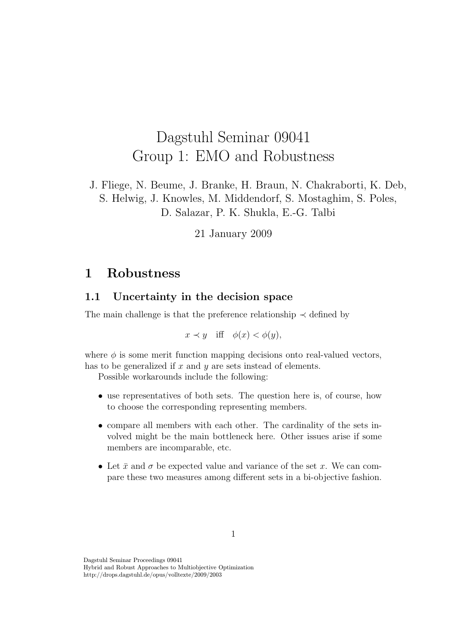# Dagstuhl Seminar 09041 Group 1: EMO and Robustness

J. Fliege, N. Beume, J. Branke, H. Braun, N. Chakraborti, K. Deb, S. Helwig, J. Knowles, M. Middendorf, S. Mostaghim, S. Poles, D. Salazar, P. K. Shukla, E.-G. Talbi

21 January 2009

## 1 Robustness

### 1.1 Uncertainty in the decision space

The main challenge is that the preference relationship  $\prec$  defined by

 $x \prec y$  iff  $\phi(x) < \phi(y)$ ,

where  $\phi$  is some merit function mapping decisions onto real-valued vectors, has to be generalized if  $x$  and  $y$  are sets instead of elements.

Possible workarounds include the following:

- use representatives of both sets. The question here is, of course, how to choose the corresponding representing members.
- compare all members with each other. The cardinality of the sets involved might be the main bottleneck here. Other issues arise if some members are incomparable, etc.
- Let  $\bar{x}$  and  $\sigma$  be expected value and variance of the set x. We can compare these two measures among different sets in a bi-objective fashion.

Hybrid and Robust Approaches to Multiobjective Optimization http://drops.dagstuhl.de/opus/volltexte/2009/2003

Dagstuhl Seminar Proceedings 09041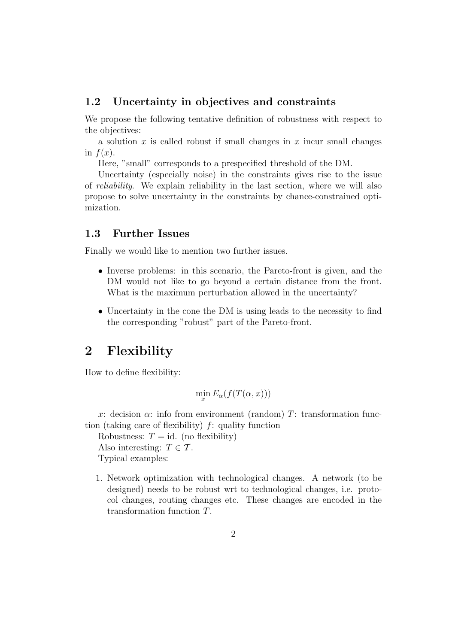### 1.2 Uncertainty in objectives and constraints

We propose the following tentative definition of robustness with respect to the objectives:

a solution  $x$  is called robust if small changes in  $x$  incur small changes in  $f(x)$ .

Here, "small" corresponds to a prespecified threshold of the DM.

Uncertainty (especially noise) in the constraints gives rise to the issue of reliability. We explain reliability in the last section, where we will also propose to solve uncertainty in the constraints by chance-constrained optimization.

### 1.3 Further Issues

Finally we would like to mention two further issues.

- Inverse problems: in this scenario, the Pareto-front is given, and the DM would not like to go beyond a certain distance from the front. What is the maximum perturbation allowed in the uncertainty?
- Uncertainty in the cone the DM is using leads to the necessity to find the corresponding "robust" part of the Pareto-front.

### 2 Flexibility

How to define flexibility:

$$
\min_x E_\alpha(f(T(\alpha, x)))
$$

x: decision  $\alpha$ : info from environment (random) T: transformation function (taking care of flexibility)  $f$ : quality function

Robustness:  $T = id$ . (no flexibility) Also interesting:  $T \in \mathcal{T}$ . Typical examples:

1. Network optimization with technological changes. A network (to be designed) needs to be robust wrt to technological changes, i.e. protocol changes, routing changes etc. These changes are encoded in the transformation function T.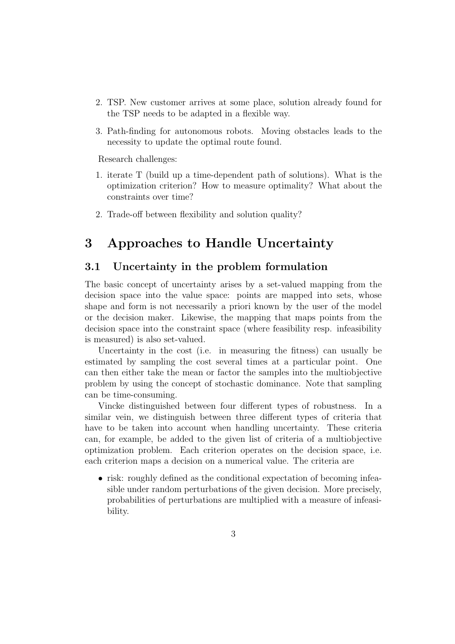- 2. TSP. New customer arrives at some place, solution already found for the TSP needs to be adapted in a flexible way.
- 3. Path-finding for autonomous robots. Moving obstacles leads to the necessity to update the optimal route found.

Research challenges:

- 1. iterate T (build up a time-dependent path of solutions). What is the optimization criterion? How to measure optimality? What about the constraints over time?
- 2. Trade-off between flexibility and solution quality?

# 3 Approaches to Handle Uncertainty

#### 3.1 Uncertainty in the problem formulation

The basic concept of uncertainty arises by a set-valued mapping from the decision space into the value space: points are mapped into sets, whose shape and form is not necessarily a priori known by the user of the model or the decision maker. Likewise, the mapping that maps points from the decision space into the constraint space (where feasibility resp. infeasibility is measured) is also set-valued.

Uncertainty in the cost (i.e. in measuring the fitness) can usually be estimated by sampling the cost several times at a particular point. One can then either take the mean or factor the samples into the multiobjective problem by using the concept of stochastic dominance. Note that sampling can be time-consuming.

Vincke distinguished between four different types of robustness. In a similar vein, we distinguish between three different types of criteria that have to be taken into account when handling uncertainty. These criteria can, for example, be added to the given list of criteria of a multiobjective optimization problem. Each criterion operates on the decision space, i.e. each criterion maps a decision on a numerical value. The criteria are

• risk: roughly defined as the conditional expectation of becoming infeasible under random perturbations of the given decision. More precisely, probabilities of perturbations are multiplied with a measure of infeasibility.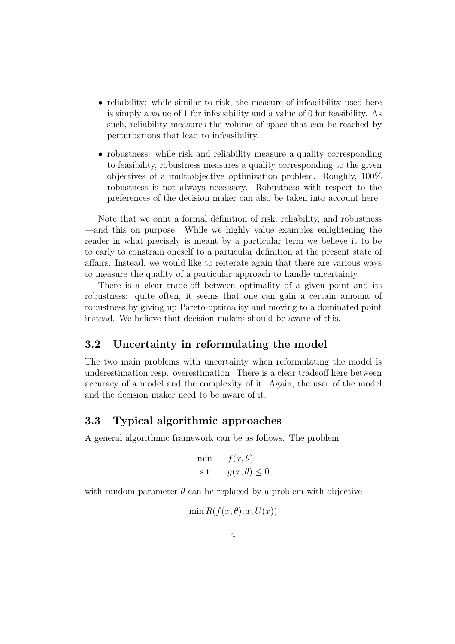- reliability: while similar to risk, the measure of infeasibility used here is simply a value of 1 for infeasibility and a value of 0 for feasibility. As such, reliability measures the volume of space that can be reached by perturbations that lead to infeasibility.
- robustness: while risk and reliability measure a quality corresponding to feasibility, robustness measures a quality corresponding to the given objectives of a multiobjective optimization problem. Roughly, 100% robustness is not always necessary. Robustness with respect to the preferences of the decision maker can also be taken into account here.

Note that we omit a formal definition of risk, reliability, and robustness —and this on purpose. While we highly value examples enlightening the reader in what precisely is meant by a particular term we believe it to be to early to constrain oneself to a particular definition at the present state of affairs. Instead, we would like to reiterate again that there are various ways to measure the quality of a particular approach to handle uncertainty.

There is a clear trade-off between optimality of a given point and its robustness: quite often, it seems that one can gain a certain amount of robustness by giving up Pareto-optimality and moving to a dominated point instead. We believe that decision makers should be aware of this.

### 3.2 Uncertainty in reformulating the model

The two main problems with uncertainty when reformulating the model is underestimation resp. overestimation. There is a clear tradeoff here between accuracy of a model and the complexity of it. Again, the user of the model and the decision maker need to be aware of it.

### 3.3 Typical algorithmic approaches

A general algorithmic framework can be as follows. The problem

$$
\begin{aligned}\n\min \qquad & f(x, \theta) \\
\text{s.t.} \qquad & g(x, \theta) \le 0\n\end{aligned}
$$

with random parameter  $\theta$  can be replaced by a problem with objective

$$
\min R(f(x, \theta), x, U(x))
$$